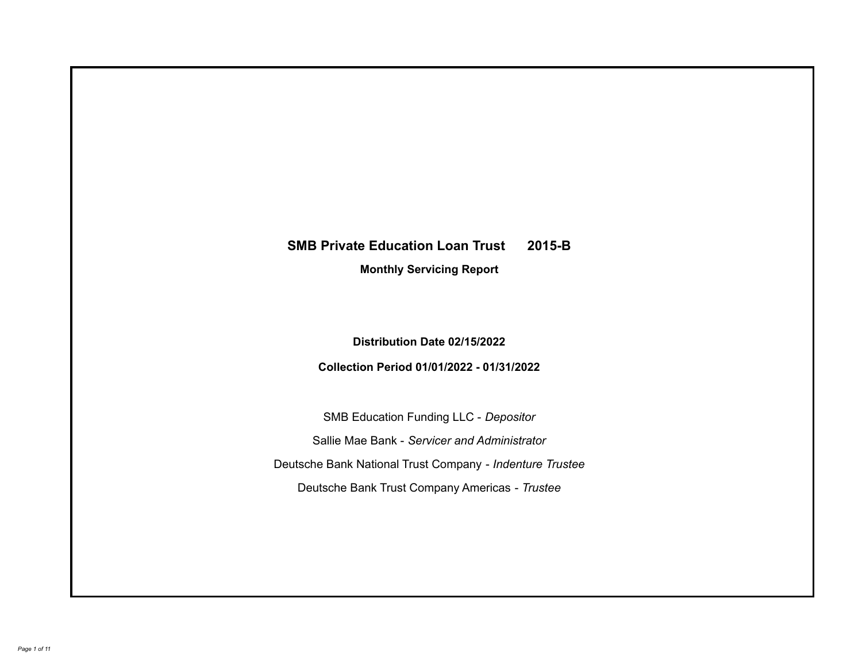# **SMB Private Education Loan Trust 2015-B**

**Monthly Servicing Report**

**Distribution Date 02/15/2022**

**Collection Period 01/01/2022 - 01/31/2022**

SMB Education Funding LLC - *Depositor* Sallie Mae Bank - *Servicer and Administrator* Deutsche Bank National Trust Company - *Indenture Trustee* Deutsche Bank Trust Company Americas - *Trustee*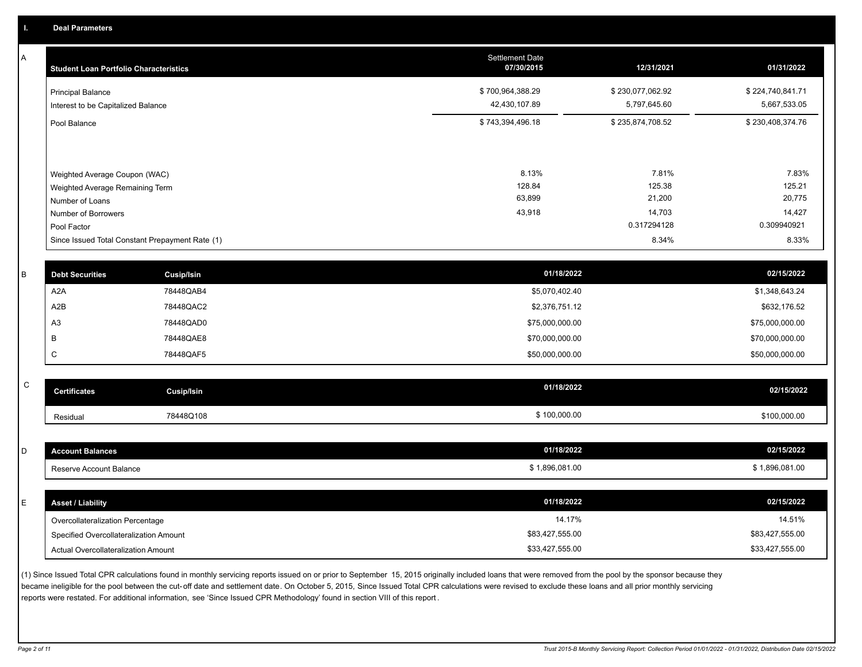A

| <b>Student Loan Portfolio Characteristics</b>                    | <b>Settlement Date</b><br>07/30/2015 | 12/31/2021                       | 01/31/2022                       |
|------------------------------------------------------------------|--------------------------------------|----------------------------------|----------------------------------|
| Principal Balance<br>Interest to be Capitalized Balance          | \$700,964,388.29<br>42,430,107.89    | \$230,077,062.92<br>5,797,645.60 | \$224,740,841.71<br>5,667,533.05 |
| Pool Balance                                                     | \$743,394,496.18                     | \$235,874,708.52                 | \$230,408,374.76                 |
| Weighted Average Coupon (WAC)<br>Weighted Average Remaining Term | 8.13%<br>128.84                      | 7.81%<br>125.38                  | 7.83%<br>125.21                  |
| Number of Loans                                                  | 63,899                               | 21,200                           | 20,775                           |
| Number of Borrowers<br>Pool Factor                               | 43,918                               | 14,703<br>0.317294128            | 14,427<br>0.309940921            |
| Since Issued Total Constant Prepayment Rate (1)                  |                                      | 8.34%                            | 8.33%                            |

| <b>Debt Securities</b> | Cusip/Isin | 01/18/2022      | 02/15/2022      |
|------------------------|------------|-----------------|-----------------|
| A <sub>2</sub> A       | 78448QAB4  | \$5,070,402.40  | \$1,348,643.24  |
| A2B                    | 78448QAC2  | \$2,376,751.12  | \$632,176.52    |
| A <sub>3</sub>         | 78448QAD0  | \$75,000,000.00 | \$75,000,000.00 |
|                        | 78448QAE8  | \$70,000,000.00 | \$70,000,000.00 |
|                        | 78448QAF5  | \$50,000,000.00 | \$50,000,000.00 |
|                        |            |                 |                 |

| $\sim$<br>◡ | <b>Certificates</b> | <b>Cusip/Isin</b> | 01/18/2022 | 02/15/2022   |
|-------------|---------------------|-------------------|------------|--------------|
|             | Residual            | 78448Q108         | 100,000.00 | \$100,000.00 |

| <b>Account Balances</b>                | 01/18/2022      | 02/15/2022      |
|----------------------------------------|-----------------|-----------------|
| Reserve Account Balance                | \$1,896,081.00  | \$1,896,081.00  |
|                                        |                 |                 |
| <b>Asset / Liability</b>               | 01/18/2022      | 02/15/2022      |
| Overcollateralization Percentage       | 14.17%          | 14.51%          |
| Specified Overcollateralization Amount | \$83,427,555.00 | \$83,427,555.00 |
| Actual Overcollateralization Amount    | \$33,427,555.00 | \$33,427,555.00 |

(1) Since Issued Total CPR calculations found in monthly servicing reports issued on or prior to September 15, 2015 originally included loans that were removed from the pool by the sponsor because they became ineligible for the pool between the cut-off date and settlement date. On October 5, 2015, Since Issued Total CPR calculations were revised to exclude these loans and all prior monthly servicing reports were restated. For additional information, see 'Since Issued CPR Methodology' found in section VIII of this report .

*Page 2 of 11 Trust 2015-B Monthly Servicing Report: Collection Period 01/01/2022 - 01/31/2022, Distribution Date 02/15/2022*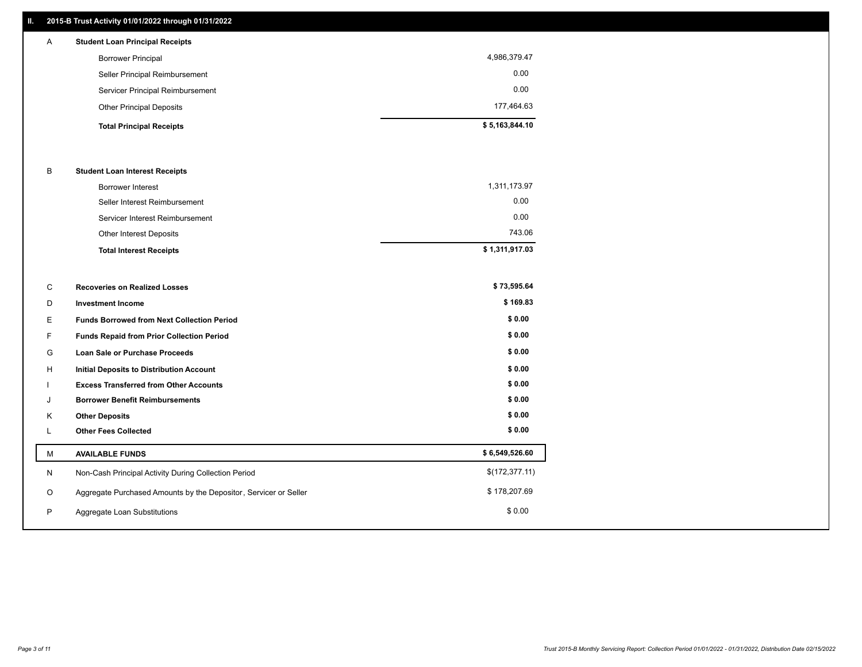# **II. 2015-B Trust Activity 01/01/2022 through 01/31/2022**

| A | <b>Student Loan Principal Receipts</b> |                |
|---|----------------------------------------|----------------|
|   | <b>Borrower Principal</b>              | 4,986,379.47   |
|   | Seller Principal Reimbursement         | 0.00           |
|   | Servicer Principal Reimbursement       | 0.00           |
|   | <b>Other Principal Deposits</b>        | 177.464.63     |
|   | <b>Total Principal Receipts</b>        | \$5,163,844.10 |

### B **Student Loan Interest Receipts**

| <b>Total Interest Receipts</b>  | \$1,311,917.03 |
|---------------------------------|----------------|
| Other Interest Deposits         | 743.06         |
| Servicer Interest Reimbursement | 0.00           |
| Seller Interest Reimbursement   | 0.00           |
| Borrower Interest               | 1,311,173.97   |

| С | <b>Recoveries on Realized Losses</b>                             | \$73,595.64    |
|---|------------------------------------------------------------------|----------------|
| D | <b>Investment Income</b>                                         | \$169.83       |
| Е | <b>Funds Borrowed from Next Collection Period</b>                | \$0.00         |
| F | Funds Repaid from Prior Collection Period                        | \$0.00         |
| G | <b>Loan Sale or Purchase Proceeds</b>                            | \$0.00         |
| H | <b>Initial Deposits to Distribution Account</b>                  | \$0.00         |
|   | <b>Excess Transferred from Other Accounts</b>                    | \$0.00         |
| J | <b>Borrower Benefit Reimbursements</b>                           | \$0.00         |
| K | <b>Other Deposits</b>                                            | \$0.00         |
| L | <b>Other Fees Collected</b>                                      | \$0.00         |
| М | <b>AVAILABLE FUNDS</b>                                           | \$6,549,526.60 |
| N | Non-Cash Principal Activity During Collection Period             | \$(172,377.11) |
| O | Aggregate Purchased Amounts by the Depositor, Servicer or Seller | \$178,207.69   |
| P | Aggregate Loan Substitutions                                     | \$0.00         |
|   |                                                                  |                |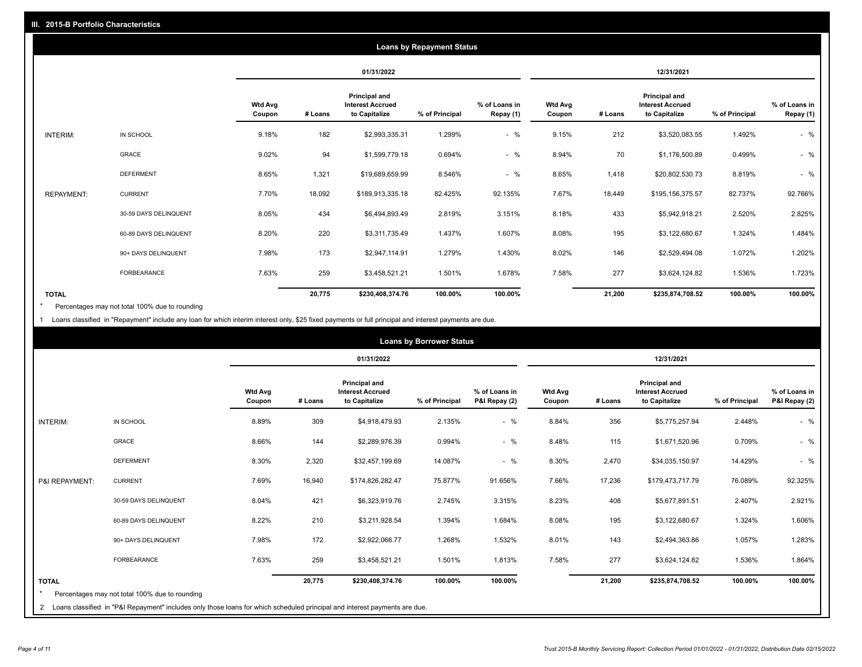| <b>Loans by Repayment Status</b> |                       |                          |            |                                                                  |                |                            |                          |         |                                                           |                |                            |
|----------------------------------|-----------------------|--------------------------|------------|------------------------------------------------------------------|----------------|----------------------------|--------------------------|---------|-----------------------------------------------------------|----------------|----------------------------|
|                                  |                       |                          | 01/31/2022 |                                                                  |                | 12/31/2021                 |                          |         |                                                           |                |                            |
|                                  |                       | <b>Wtd Avg</b><br>Coupon | # Loans    | <b>Principal and</b><br><b>Interest Accrued</b><br>to Capitalize | % of Principal | % of Loans in<br>Repay (1) | <b>Wtd Avg</b><br>Coupon | # Loans | Principal and<br><b>Interest Accrued</b><br>to Capitalize | % of Principal | % of Loans in<br>Repay (1) |
| INTERIM:                         | IN SCHOOL             | 9.18%                    | 182        | \$2,993,335.31                                                   | 1.299%         | $-$ %                      | 9.15%                    | 212     | \$3,520,083.55                                            | 1.492%         | $-$ %                      |
|                                  | <b>GRACE</b>          | 9.02%                    | 94         | \$1,599,779.18                                                   | 0.694%         | $-$ %                      | 8.94%                    | 70      | \$1,176,500.89                                            | 0.499%         | $-$ %                      |
|                                  | <b>DEFERMENT</b>      | 8.65%                    | 1,321      | \$19,689,659.99                                                  | 8.546%         | $-$ %                      | 8.65%                    | 1,418   | \$20,802,530.73                                           | 8.819%         | $-$ %                      |
| <b>REPAYMENT:</b>                | <b>CURRENT</b>        | 7.70%                    | 18,092     | \$189,913,335.18                                                 | 82.425%        | 92.135%                    | 7.67%                    | 18,449  | \$195,156,375.57                                          | 82.737%        | 92.766%                    |
|                                  | 30-59 DAYS DELINQUENT | 8.05%                    | 434        | \$6,494,893.49                                                   | 2.819%         | 3.151%                     | 8.18%                    | 433     | \$5,942,918.21                                            | 2.520%         | 2.825%                     |
|                                  | 60-89 DAYS DELINQUENT | 8.20%                    | 220        | \$3,311,735.49                                                   | 1.437%         | 1.607%                     | 8.08%                    | 195     | \$3,122,680.67                                            | 1.324%         | 1.484%                     |
|                                  | 90+ DAYS DELINQUENT   | 7.98%                    | 173        | \$2,947,114.91                                                   | 1.279%         | 1.430%                     | 8.02%                    | 146     | \$2,529,494.08                                            | 1.072%         | 1.202%                     |
|                                  | <b>FORBEARANCE</b>    | 7.63%                    | 259        | \$3,458,521.21                                                   | 1.501%         | 1.678%                     | 7.58%                    | 277     | \$3,624,124.82                                            | 1.536%         | 1.723%                     |
| <b>TOTAL</b>                     |                       |                          | 20,775     | \$230,408,374.76                                                 | 100.00%        | 100.00%                    |                          | 21,200  | \$235,874,708.52                                          | 100.00%        | 100.00%                    |

Percentages may not total 100% due to rounding \*

1 Loans classified in "Repayment" include any loan for which interim interest only, \$25 fixed payments or full principal and interest payments are due.

| <b>Loans by Borrower Status</b> |                                                                                                                              |                          |            |                                                                  |                |                                |                          |         |                                                                  |                |                                |
|---------------------------------|------------------------------------------------------------------------------------------------------------------------------|--------------------------|------------|------------------------------------------------------------------|----------------|--------------------------------|--------------------------|---------|------------------------------------------------------------------|----------------|--------------------------------|
|                                 |                                                                                                                              |                          | 01/31/2022 |                                                                  |                |                                | 12/31/2021               |         |                                                                  |                |                                |
|                                 |                                                                                                                              | <b>Wtd Avg</b><br>Coupon | # Loans    | <b>Principal and</b><br><b>Interest Accrued</b><br>to Capitalize | % of Principal | % of Loans in<br>P&I Repay (2) | <b>Wtd Avg</b><br>Coupon | # Loans | <b>Principal and</b><br><b>Interest Accrued</b><br>to Capitalize | % of Principal | % of Loans in<br>P&I Repay (2) |
| <b>INTERIM:</b>                 | IN SCHOOL                                                                                                                    | 8.89%                    | 309        | \$4,918,479.93                                                   | 2.135%         | $-$ %                          | 8.84%                    | 356     | \$5,775,257.94                                                   | 2.448%         | $-$ %                          |
|                                 | <b>GRACE</b>                                                                                                                 | 8.66%                    | 144        | \$2,289,976.39                                                   | 0.994%         | $-$ %                          | 8.48%                    | 115     | \$1,671,520.96                                                   | 0.709%         | $-$ %                          |
|                                 | <b>DEFERMENT</b>                                                                                                             | 8.30%                    | 2,320      | \$32,457,199.69                                                  | 14.087%        | $-$ %                          | 8.30%                    | 2,470   | \$34,035,150.97                                                  | 14.429%        | $-$ %                          |
| P&I REPAYMENT:                  | <b>CURRENT</b>                                                                                                               | 7.69%                    | 16,940     | \$174,826,282.47                                                 | 75.877%        | 91.656%                        | 7.66%                    | 17,236  | \$179,473,717.79                                                 | 76.089%        | 92.325%                        |
|                                 | 30-59 DAYS DELINQUENT                                                                                                        | 8.04%                    | 421        | \$6,323,919.76                                                   | 2.745%         | 3.315%                         | 8.23%                    | 408     | \$5,677,891.51                                                   | 2.407%         | 2.921%                         |
|                                 | 60-89 DAYS DELINQUENT                                                                                                        | 8.22%                    | 210        | \$3,211,928.54                                                   | 1.394%         | 1.684%                         | 8.08%                    | 195     | \$3,122,680.67                                                   | 1.324%         | 1.606%                         |
|                                 | 90+ DAYS DELINQUENT                                                                                                          | 7.98%                    | 172        | \$2,922,066.77                                                   | 1.268%         | 1.532%                         | 8.01%                    | 143     | \$2,494,363.86                                                   | 1.057%         | 1.283%                         |
|                                 | <b>FORBEARANCE</b>                                                                                                           | 7.63%                    | 259        | \$3,458,521.21                                                   | 1.501%         | 1.813%                         | 7.58%                    | 277     | \$3,624,124.82                                                   | 1.536%         | 1.864%                         |
| <b>TOTAL</b>                    | Percentages may not total 100% due to rounding                                                                               |                          | 20,775     | \$230,408,374.76                                                 | 100.00%        | 100.00%                        |                          | 21,200  | \$235,874,708.52                                                 | 100.00%        | 100.00%                        |
|                                 | 2 Loans classified in "P&I Repayment" includes only those loans for which scheduled principal and interest payments are due. |                          |            |                                                                  |                |                                |                          |         |                                                                  |                |                                |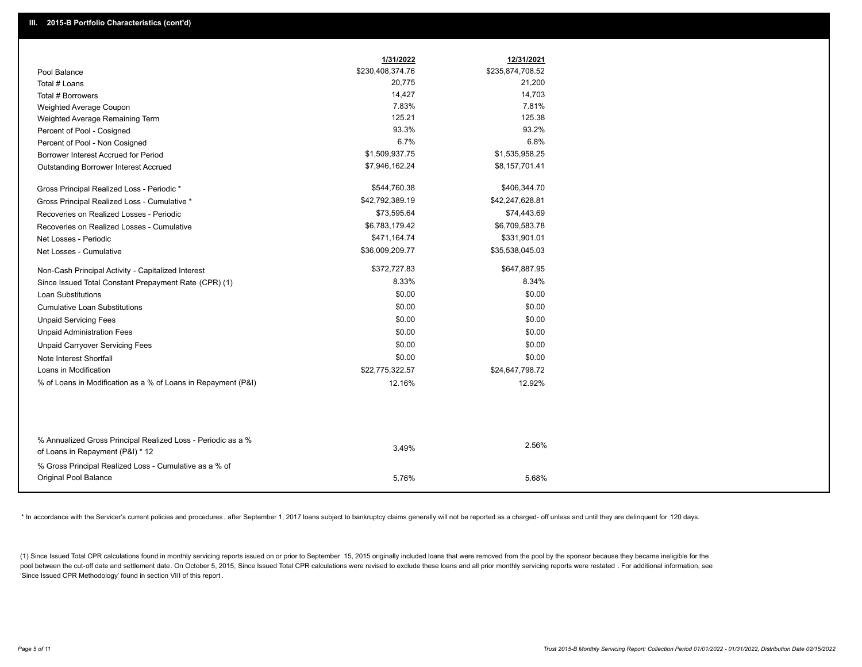|                                                               | 1/31/2022        | 12/31/2021       |
|---------------------------------------------------------------|------------------|------------------|
| Pool Balance                                                  | \$230,408,374.76 | \$235,874,708.52 |
| Total # Loans                                                 | 20,775           | 21,200           |
| Total # Borrowers                                             | 14,427           | 14,703           |
| Weighted Average Coupon                                       | 7.83%            | 7.81%            |
| Weighted Average Remaining Term                               | 125.21           | 125.38           |
| Percent of Pool - Cosigned                                    | 93.3%            | 93.2%            |
| Percent of Pool - Non Cosigned                                | 6.7%             | 6.8%             |
| Borrower Interest Accrued for Period                          | \$1,509,937.75   | \$1,535,958.25   |
| <b>Outstanding Borrower Interest Accrued</b>                  | \$7,946,162.24   | \$8,157,701.41   |
| Gross Principal Realized Loss - Periodic *                    | \$544,760.38     | \$406,344.70     |
| Gross Principal Realized Loss - Cumulative *                  | \$42,792,389.19  | \$42,247,628.81  |
| Recoveries on Realized Losses - Periodic                      | \$73,595.64      | \$74,443.69      |
| Recoveries on Realized Losses - Cumulative                    | \$6,783,179.42   | \$6,709,583.78   |
| Net Losses - Periodic                                         | \$471,164.74     | \$331,901.01     |
| Net Losses - Cumulative                                       | \$36,009,209.77  | \$35,538,045.03  |
| Non-Cash Principal Activity - Capitalized Interest            | \$372,727.83     | \$647,887.95     |
| Since Issued Total Constant Prepayment Rate (CPR) (1)         | 8.33%            | 8.34%            |
| <b>Loan Substitutions</b>                                     | \$0.00           | \$0.00           |
| <b>Cumulative Loan Substitutions</b>                          | \$0.00           | \$0.00           |
| <b>Unpaid Servicing Fees</b>                                  | \$0.00           | \$0.00           |
| <b>Unpaid Administration Fees</b>                             | \$0.00           | \$0.00           |
| <b>Unpaid Carryover Servicing Fees</b>                        | \$0.00           | \$0.00           |
| Note Interest Shortfall                                       | \$0.00           | \$0.00           |
| Loans in Modification                                         | \$22,775,322.57  | \$24,647,798.72  |
| % of Loans in Modification as a % of Loans in Repayment (P&I) | 12.16%           | 12.92%           |
|                                                               |                  |                  |
| % Annualized Gross Principal Realized Loss - Periodic as a %  |                  |                  |
| of Loans in Repayment (P&I) * 12                              | 3.49%            | 2.56%            |
| % Gross Principal Realized Loss - Cumulative as a % of        |                  |                  |
| Original Pool Balance                                         | 5.76%            | 5.68%            |

\* In accordance with the Servicer's current policies and procedures, after September 1, 2017 loans subject to bankruptcy claims generally will not be reported as a charged- off unless and until they are delinquent for 120

(1) Since Issued Total CPR calculations found in monthly servicing reports issued on or prior to September 15, 2015 originally included loans that were removed from the pool by the sponsor because they became ineligible fo pool between the cut-off date and settlement date. On October 5, 2015, Since Issued Total CPR calculations were revised to exclude these loans and all prior monthly servicing reports were restated. For additional informati 'Since Issued CPR Methodology' found in section VIII of this report .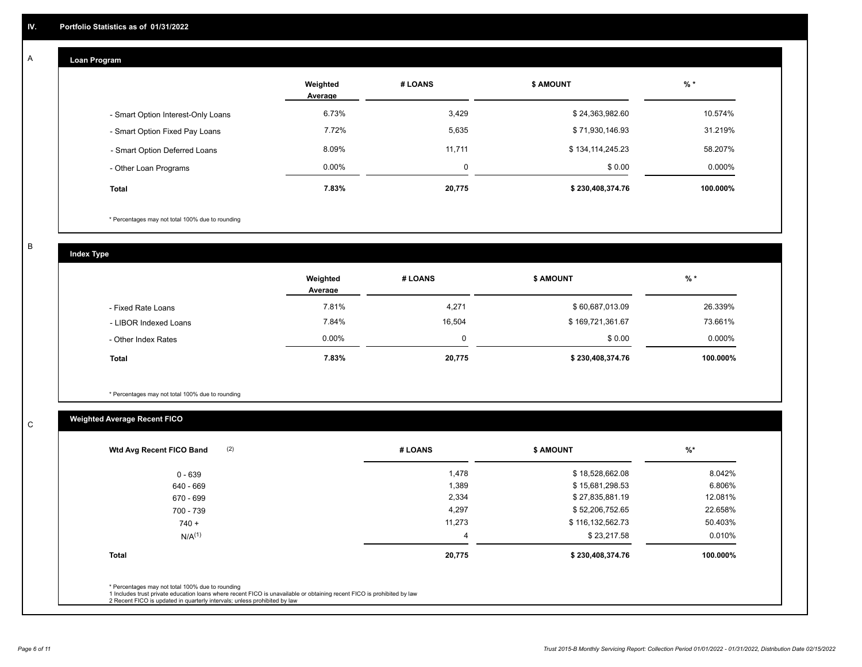#### **Loan Program**  A

|                                    | Weighted<br>Average | # LOANS | <b>S AMOUNT</b>  | $%$ *     |
|------------------------------------|---------------------|---------|------------------|-----------|
| - Smart Option Interest-Only Loans | 6.73%               | 3,429   | \$24,363,982.60  | 10.574%   |
| - Smart Option Fixed Pay Loans     | 7.72%               | 5,635   | \$71,930,146.93  | 31.219%   |
| - Smart Option Deferred Loans      | 8.09%               | 11,711  | \$134,114,245.23 | 58.207%   |
| - Other Loan Programs              | $0.00\%$            | 0       | \$0.00           | $0.000\%$ |
| <b>Total</b>                       | 7.83%               | 20,775  | \$230,408,374.76 | 100.000%  |

\* Percentages may not total 100% due to rounding

B

C

**Index Type**

|                       | Weighted<br>Average | # LOANS | \$ AMOUNT        | % *       |
|-----------------------|---------------------|---------|------------------|-----------|
| - Fixed Rate Loans    | 7.81%               | 4,271   | \$60,687,013.09  | 26.339%   |
| - LIBOR Indexed Loans | 7.84%               | 16,504  | \$169,721,361.67 | 73.661%   |
| - Other Index Rates   | $0.00\%$            | 0       | \$0.00           | $0.000\%$ |
| <b>Total</b>          | 7.83%               | 20,775  | \$230,408,374.76 | 100.000%  |

\* Percentages may not total 100% due to rounding

# **Weighted Average Recent FICO**

| (2)<br>Wtd Avg Recent FICO Band                                                                                                                                             | # LOANS | <b>S AMOUNT</b>  | $\frac{9}{6}$ * |
|-----------------------------------------------------------------------------------------------------------------------------------------------------------------------------|---------|------------------|-----------------|
| 0 - 639                                                                                                                                                                     | 1,478   | \$18,528,662.08  | 8.042%          |
| 640 - 669                                                                                                                                                                   | 1,389   | \$15,681,298.53  | 6.806%          |
| 670 - 699                                                                                                                                                                   | 2,334   | \$27,835,881.19  | 12.081%         |
| 700 - 739                                                                                                                                                                   | 4,297   | \$52,206,752.65  | 22.658%         |
| $740 +$                                                                                                                                                                     | 11,273  | \$116,132,562.73 | 50.403%         |
| N/A <sup>(1)</sup>                                                                                                                                                          | 4       | \$23,217.58      | 0.010%          |
| <b>Total</b>                                                                                                                                                                | 20,775  | \$230,408,374.76 | 100.000%        |
| * Percentages may not total 100% due to rounding<br>1 Includes trust private education loans where recent FICO is unavailable or obtaining recent FICO is prohibited by law |         |                  |                 |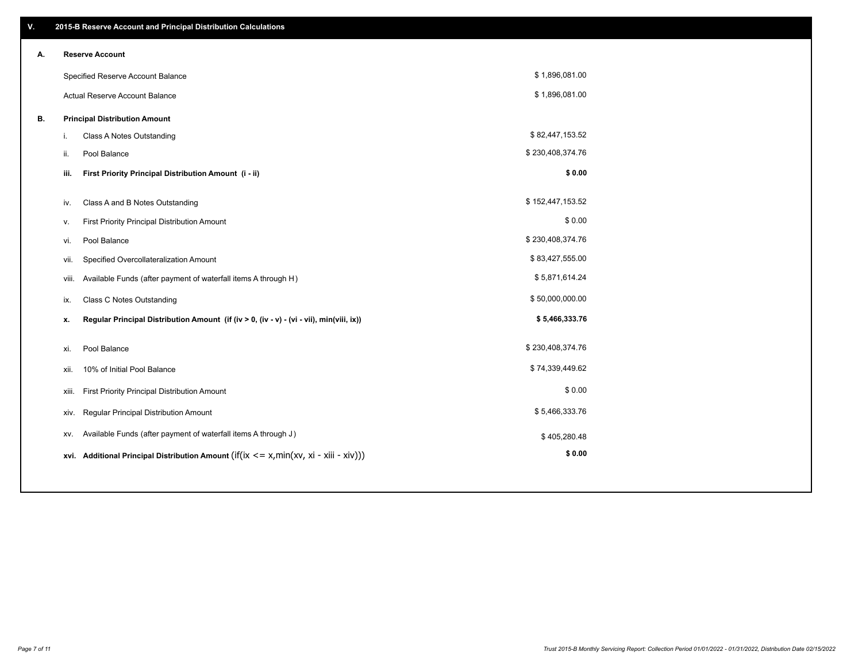| V. | 2015-B Reserve Account and Principal Distribution Calculations                                     |                  |  |
|----|----------------------------------------------------------------------------------------------------|------------------|--|
| Α. | <b>Reserve Account</b>                                                                             |                  |  |
|    | Specified Reserve Account Balance                                                                  | \$1,896,081.00   |  |
|    | Actual Reserve Account Balance                                                                     | \$1,896,081.00   |  |
| В. | <b>Principal Distribution Amount</b>                                                               |                  |  |
|    | Class A Notes Outstanding<br>i.                                                                    | \$82,447,153.52  |  |
|    | Pool Balance<br>ii.                                                                                | \$230,408,374.76 |  |
|    | First Priority Principal Distribution Amount (i - ii)<br>iii.                                      | \$0.00           |  |
|    |                                                                                                    | \$152,447,153.52 |  |
|    | Class A and B Notes Outstanding<br>iv.                                                             |                  |  |
|    | First Priority Principal Distribution Amount<br>v.                                                 | \$0.00           |  |
|    | Pool Balance<br>vi.                                                                                | \$230,408,374.76 |  |
|    | Specified Overcollateralization Amount<br>vii.                                                     | \$83,427,555.00  |  |
|    | Available Funds (after payment of waterfall items A through H)<br>viii.                            | \$5,871,614.24   |  |
|    | <b>Class C Notes Outstanding</b><br>ix.                                                            | \$50,000,000.00  |  |
|    | Regular Principal Distribution Amount (if (iv > 0, (iv - v) - (vi - vii), min(viii, ix))<br>х.     | \$5,466,333.76   |  |
|    |                                                                                                    |                  |  |
|    | Pool Balance<br>xi.                                                                                | \$230,408,374.76 |  |
|    | 10% of Initial Pool Balance<br>xii.                                                                | \$74,339,449.62  |  |
|    | First Priority Principal Distribution Amount<br>xiii.                                              | \$0.00           |  |
|    | Regular Principal Distribution Amount<br>xiv.                                                      | \$5,466,333.76   |  |
|    | Available Funds (after payment of waterfall items A through J)<br>XV.                              | \$405,280.48     |  |
|    | Additional Principal Distribution Amount (if( $ix \leq x$ , min $(xv, xi - xiii - xiv)$ ))<br>xvi. | \$0.00           |  |
|    |                                                                                                    |                  |  |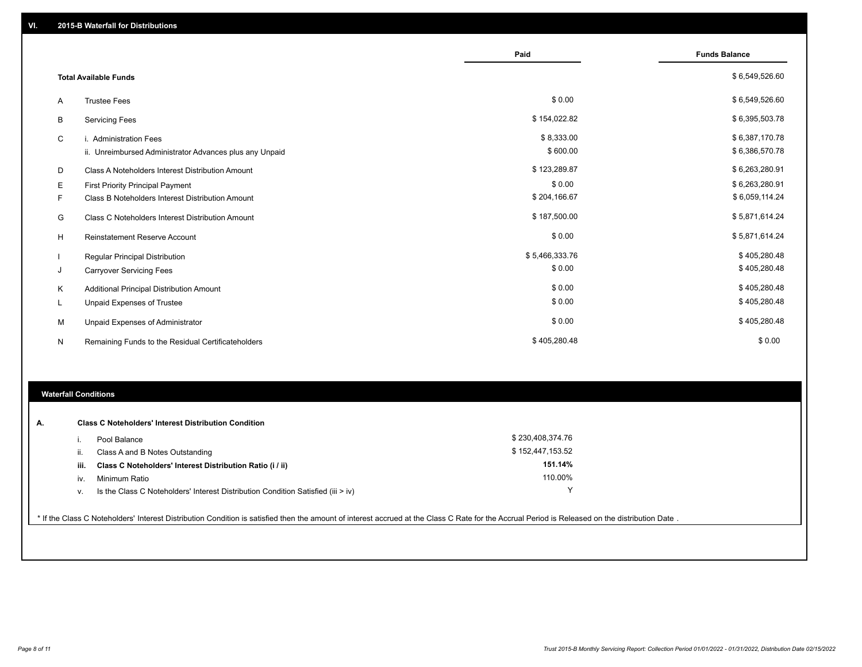|    |                                                         | Paid           | <b>Funds Balance</b> |
|----|---------------------------------------------------------|----------------|----------------------|
|    | <b>Total Available Funds</b>                            |                | \$6,549,526.60       |
| A  | <b>Trustee Fees</b>                                     | \$0.00         | \$6,549,526.60       |
| B  | <b>Servicing Fees</b>                                   | \$154,022.82   | \$6,395,503.78       |
| C  | i. Administration Fees                                  | \$8,333.00     | \$6,387,170.78       |
|    | ii. Unreimbursed Administrator Advances plus any Unpaid | \$600.00       | \$6,386,570.78       |
| D  | Class A Noteholders Interest Distribution Amount        | \$123,289.87   | \$6,263,280.91       |
| Е  | <b>First Priority Principal Payment</b>                 | \$0.00         | \$6,263,280.91       |
| F. | Class B Noteholders Interest Distribution Amount        | \$204,166.67   | \$6,059,114.24       |
| G  | <b>Class C Noteholders Interest Distribution Amount</b> | \$187,500.00   | \$5,871,614.24       |
| H  | <b>Reinstatement Reserve Account</b>                    | \$0.00         | \$5,871,614.24       |
|    | <b>Regular Principal Distribution</b>                   | \$5,466,333.76 | \$405,280.48         |
| J  | <b>Carryover Servicing Fees</b>                         | \$0.00         | \$405,280.48         |
| Κ  | Additional Principal Distribution Amount                | \$0.00         | \$405,280.48         |
| L  | Unpaid Expenses of Trustee                              | \$0.00         | \$405,280.48         |
| м  | Unpaid Expenses of Administrator                        | \$0.00         | \$405,280.48         |
| N  | Remaining Funds to the Residual Certificateholders      | \$405,280.48   | \$0.00               |

# **Waterfall Conditions**

| А. |      | <b>Class C Noteholders' Interest Distribution Condition</b>                        |                  |  |
|----|------|------------------------------------------------------------------------------------|------------------|--|
|    |      | Pool Balance                                                                       | \$230,408,374.76 |  |
|    | н.   | Class A and B Notes Outstanding                                                    | \$152,447,153.52 |  |
|    | iii. | Class C Noteholders' Interest Distribution Ratio (i / ii)                          | 151.14%          |  |
|    | IV.  | Minimum Ratio                                                                      | 110.00%          |  |
|    | ٧.   | Is the Class C Noteholders' Interest Distribution Condition Satisfied (iii $>$ iv) |                  |  |
|    |      |                                                                                    |                  |  |

\* If the Class C Noteholders' Interest Distribution Condition is satisfied then the amount of interest accrued at the Class C Rate for the Accrual Period is Released on the distribution Date .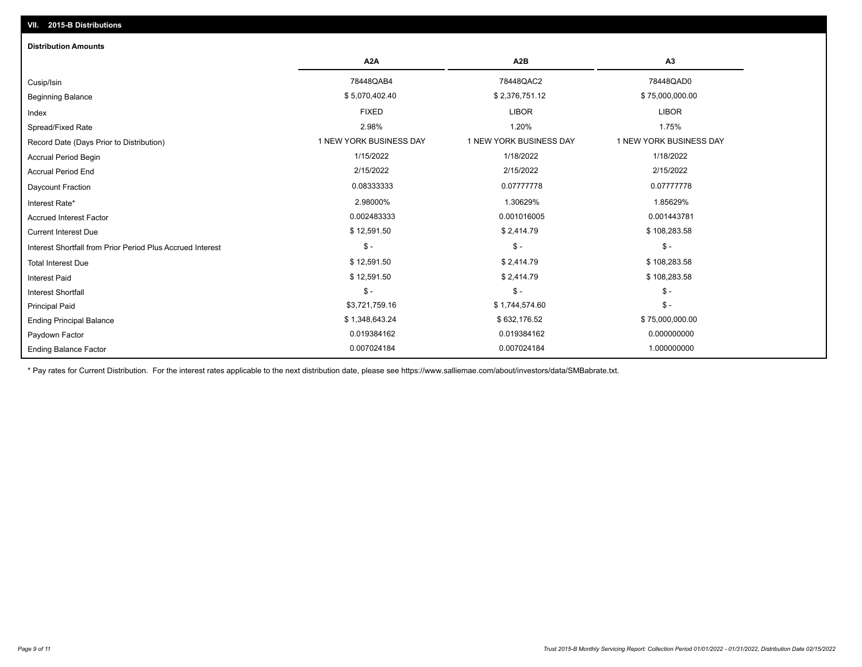| <b>Distribution Amounts</b>                                |                         |                         |                         |
|------------------------------------------------------------|-------------------------|-------------------------|-------------------------|
|                                                            | A2A                     | A2B                     | A3                      |
| Cusip/Isin                                                 | 78448QAB4               | 78448QAC2               | 78448QAD0               |
| <b>Beginning Balance</b>                                   | \$5,070,402.40          | \$2,376,751.12          | \$75,000,000.00         |
| Index                                                      | <b>FIXED</b>            | <b>LIBOR</b>            | <b>LIBOR</b>            |
| Spread/Fixed Rate                                          | 2.98%                   | 1.20%                   | 1.75%                   |
| Record Date (Days Prior to Distribution)                   | 1 NEW YORK BUSINESS DAY | 1 NEW YORK BUSINESS DAY | 1 NEW YORK BUSINESS DAY |
| Accrual Period Begin                                       | 1/15/2022               | 1/18/2022               | 1/18/2022               |
| <b>Accrual Period End</b>                                  | 2/15/2022               | 2/15/2022               | 2/15/2022               |
| Daycount Fraction                                          | 0.08333333              | 0.07777778              | 0.07777778              |
| Interest Rate*                                             | 2.98000%                | 1.30629%                | 1.85629%                |
| <b>Accrued Interest Factor</b>                             | 0.002483333             | 0.001016005             | 0.001443781             |
| <b>Current Interest Due</b>                                | \$12,591.50             | \$2,414.79              | \$108,283.58            |
| Interest Shortfall from Prior Period Plus Accrued Interest | $\mathsf{\$}$ -         | $$ -$                   | $\mathsf{\$}$ -         |
| <b>Total Interest Due</b>                                  | \$12,591.50             | \$2,414.79              | \$108,283.58            |
| <b>Interest Paid</b>                                       | \$12,591.50             | \$2,414.79              | \$108,283.58            |
| <b>Interest Shortfall</b>                                  | $\mathsf{\$}$ -         | $$ -$                   | $\mathsf{\$}$ -         |
| <b>Principal Paid</b>                                      | \$3,721,759.16          | \$1,744,574.60          | $\mathsf{\$}$ -         |
| <b>Ending Principal Balance</b>                            | \$1,348,643.24          | \$632,176.52            | \$75,000,000.00         |
| Paydown Factor                                             | 0.019384162             | 0.019384162             | 0.000000000             |
| <b>Ending Balance Factor</b>                               | 0.007024184             | 0.007024184             | 1.000000000             |

\* Pay rates for Current Distribution. For the interest rates applicable to the next distribution date, please see https://www.salliemae.com/about/investors/data/SMBabrate.txt.

**VII. 2015-B Distributions**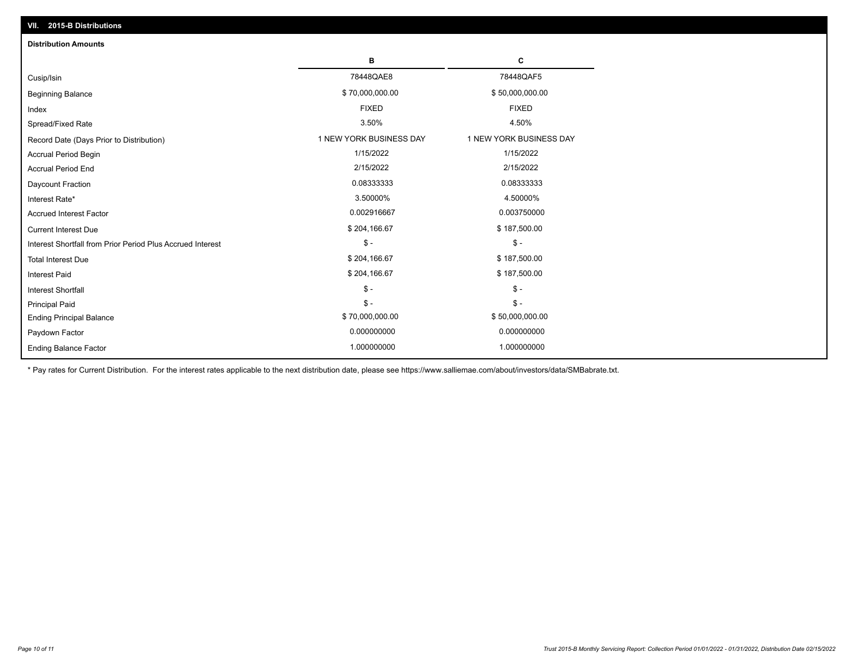| VII. 2015-B Distributions                                  |                         |                         |
|------------------------------------------------------------|-------------------------|-------------------------|
| <b>Distribution Amounts</b>                                |                         |                         |
|                                                            | в                       | С                       |
| Cusip/Isin                                                 | 78448QAE8               | 78448QAF5               |
| <b>Beginning Balance</b>                                   | \$70,000,000.00         | \$50,000,000.00         |
| Index                                                      | <b>FIXED</b>            | <b>FIXED</b>            |
| Spread/Fixed Rate                                          | 3.50%                   | 4.50%                   |
| Record Date (Days Prior to Distribution)                   | 1 NEW YORK BUSINESS DAY | 1 NEW YORK BUSINESS DAY |
| <b>Accrual Period Begin</b>                                | 1/15/2022               | 1/15/2022               |
| <b>Accrual Period End</b>                                  | 2/15/2022               | 2/15/2022               |
| Daycount Fraction                                          | 0.08333333              | 0.08333333              |
| Interest Rate*                                             | 3.50000%                | 4.50000%                |
| <b>Accrued Interest Factor</b>                             | 0.002916667             | 0.003750000             |
| <b>Current Interest Due</b>                                | \$204,166.67            | \$187,500.00            |
| Interest Shortfall from Prior Period Plus Accrued Interest | $\frac{1}{2}$           | $$ -$                   |
| <b>Total Interest Due</b>                                  | \$204,166.67            | \$187,500.00            |
| <b>Interest Paid</b>                                       | \$204,166.67            | \$187,500.00            |
| Interest Shortfall                                         | $\frac{1}{2}$           | $\frac{1}{2}$           |
| <b>Principal Paid</b>                                      | $\mathsf{\$}$ -         | $S -$                   |
| <b>Ending Principal Balance</b>                            | \$70,000,000.00         | \$50,000,000.00         |
| Paydown Factor                                             | 0.000000000             | 0.000000000             |
| <b>Ending Balance Factor</b>                               | 1.000000000             | 1.000000000             |

\* Pay rates for Current Distribution. For the interest rates applicable to the next distribution date, please see https://www.salliemae.com/about/investors/data/SMBabrate.txt.